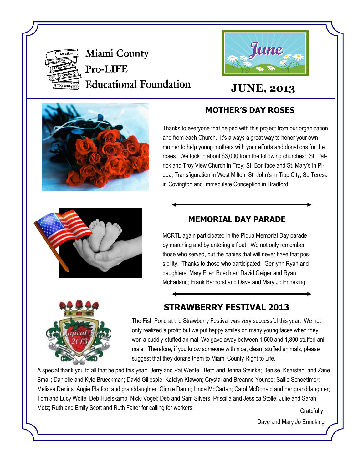

Miami County Pro-LIFE **Educational Foundation** 



# **JUNE, 2013**



## **MOTHER'S DAY ROSES**

Thanks to everyone that helped with this project from our organization and from each Church. It's always a great way to honor your own mother to help young mothers with your efforts and donations for the roses. We took in about \$3,000 from the following churches: St. Patrick and Troy View Church in Troy; St. Boniface and St. Mary's in Piqua; Transfiguration in West Milton; St. John's in Tipp City; St. Teresa in Covington and Immaculate Conception in Bradford.



## **MEMORIAL DAY PARADE**

MCRTL again participated in the Piqua Memorial Day parade by marching and by entering a float. We not only remember those who served, but the babies that will never have that possibility. Thanks to those who participated: Gerilynn Ryan and daughters; Mary Ellen Buechter; David Geiger and Ryan McFarland; Frank Barhorst and Dave and Mary Jo Enneking.



## **STRAWBERRY FESTIVAL 2013**

The Fish Pond at the Strawberry Festival was very successful this year. We not only realized a profit; but we put happy smiles on many young faces when they won a cuddly-stuffed animal. We gave away between 1,500 and 1,800 stuffed animals. Therefore, if you know someone with nice, clean, stuffed animals, please suggest that they donate them to Miami County Right to Life.

A special thank you to all that helped this year: Jerry and Pat Wente; Beth and Jenna Steinke; Denise, Kearsten, and Zane Small; Danielle and Kyle Brueckman; David Gillespie; Katelyn Klawon; Crystal and Breanne Younce; Sallie Schoettmer; Melissa Denius; Angie Platfoot and granddaughter; Ginnie Daum; Linda McCartan; Carol McDonald and her granddaughter; Tom and Lucy Wolfe; Deb Huelskamp; Nicki Vogel; Deb and Sam Silvers; Priscilla and Jessica Stolle; Julie and Sarah Motz; Ruth and Emily Scott and Ruth Falter for calling for workers.

Dave and Mary Jo Enneking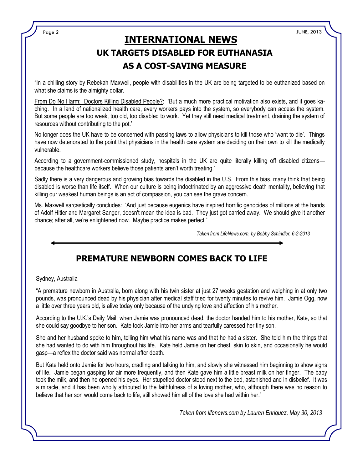Page 2 JUNE, 2013

## **UK TARGETS DISABLED FOR EUTHANASIA AS A COST-SAVING MEASURE INTERNATIONAL NEWS**

"In a chilling story by Rebekah Maxwell, people with disabilities in the UK are being targeted to be euthanized based on what she claims is the almighty dollar.

From Do No Harm: Doctors Killing Disabled People?: 'But a much more practical motivation also exists, and it goes kaching. In a land of nationalized health care, every workers pays into the system, so everybody can access the system. But some people are too weak, too old, too disabled to work. Yet they still need medical treatment, draining the system of resources without contributing to the pot.'

No longer does the UK have to be concerned with passing laws to allow physicians to kill those who 'want to die'. Things have now deteriorated to the point that physicians in the health care system are deciding on their own to kill the medically vulnerable.

According to a government-commissioned study, hospitals in the UK are quite literally killing off disabled citizensbecause the healthcare workers believe those patients aren't worth treating.'

Sadly there is a very dangerous and growing bias towards the disabled in the U.S. From this bias, many think that being disabled is worse than life itself. When our culture is being indoctrinated by an aggressive death mentality, believing that killing our weakest human beings is an act of compassion, you can see the grave concern.

Ms. Maxwell sarcastically concludes: 'And just because eugenics have inspired horrific genocides of millions at the hands of Adolf Hitler and Margaret Sanger, doesn't mean the idea is bad. They just got carried away. We should give it another chance; after all, we're enlightened now. Maybe practice makes perfect."

*Taken from LifeNews.com, by Bobby Schindler, 6-2-2013*



#### Sydney, Australia

"A premature newborn in Australia, born along with his twin sister at just 27 weeks gestation and weighing in at only two pounds, was pronounced dead by his physician after medical staff tried for twenty minutes to revive him. Jamie Ogg, now a little over three years old, is alive today only because of the undying love and affection of his mother.

According to the U.K.'s Daily Mail, when Jamie was pronounced dead, the doctor handed him to his mother, Kate, so that she could say goodbye to her son. Kate took Jamie into her arms and tearfully caressed her tiny son.

She and her husband spoke to him, telling him what his name was and that he had a sister. She told him the things that she had wanted to do with him throughout his life. Kate held Jamie on her chest, skin to skin, and occasionally he would gasp—a reflex the doctor said was normal after death.

But Kate held onto Jamie for two hours, cradling and talking to him, and slowly she witnessed him beginning to show signs of life. Jamie began gasping for air more frequently, and then Kate gave him a little breast milk on her finger. The baby took the milk, and then he opened his eyes. Her stupefied doctor stood next to the bed, astonished and in disbelief. It was a miracle, and it has been wholly attributed to the faithfulness of a loving mother, who, although there was no reason to believe that her son would come back to life, still showed him all of the love she had within her."

*Taken from lifenews.com by Lauren Enriquez, May 30, 2013*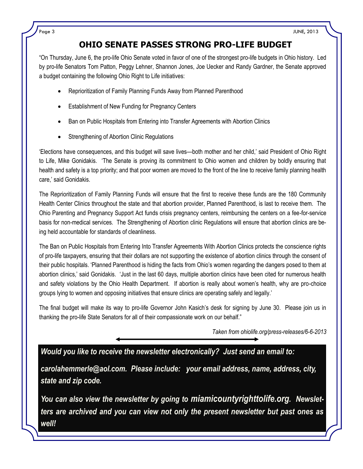### **OHIO SENATE PASSES STRONG PRO-LIFE BUDGET**

"On Thursday, June 6, the pro-life Ohio Senate voted in favor of one of the strongest pro-life budgets in Ohio history. Led by pro-life Senators Tom Patton, Peggy Lehner, Shannon Jones, Joe Uecker and Randy Gardner, the Senate approved a budget containing the following Ohio Right to Life initiatives:

- Reprioritization of Family Planning Funds Away from Planned Parenthood
- Establishment of New Funding for Pregnancy Centers
- Ban on Public Hospitals from Entering into Transfer Agreements with Abortion Clinics
- Strengthening of Abortion Clinic Regulations

'Elections have consequences, and this budget will save lives—both mother and her child,' said President of Ohio Right to Life, Mike Gonidakis. 'The Senate is proving its commitment to Ohio women and children by boldly ensuring that health and safety is a top priority; and that poor women are moved to the front of the line to receive family planning health care,' said Gonidakis.

The Reprioritization of Family Planning Funds will ensure that the first to receive these funds are the 180 Community Health Center Clinics throughout the state and that abortion provider, Planned Parenthood, is last to receive them. The Ohio Parenting and Pregnancy Support Act funds crisis pregnancy centers, reimbursing the centers on a fee-for-service basis for non-medical services. The Strengthening of Abortion clinic Regulations will ensure that abortion clinics are being held accountable for standards of cleanliness.

The Ban on Public Hospitals from Entering Into Transfer Agreements With Abortion Clinics protects the conscience rights of pro-life taxpayers, ensuring that their dollars are not supporting the existence of abortion clinics through the consent of their public hospitals. 'Planned Parenthood is hiding the facts from Ohio's women regarding the dangers posed to them at abortion clinics,' said Gonidakis. 'Just in the last 60 days, multiple abortion clinics have been cited for numerous health and safety violations by the Ohio Health Department. If abortion is really about women's health, why are pro-choice groups lying to women and opposing initiatives that ensure clinics are operating safely and legally.'

The final budget will make its way to pro-life Governor John Kasich's desk for signing by June 30. Please join us in thanking the pro-life State Senators for all of their compassionate work on our behalf."

*Taken from ohiolife.org/press-releases/6-6-2013*

*Would you like to receive the newsletter electronically? Just send an email to:*

*carolahemmerle@aol.com. Please include: your email address, name, address, city, state and zip code.* 

*You can also view the newsletter by going to miamicountyrighttolife.org. Newsletters are archived and you can view not only the present newsletter but past ones as well!*